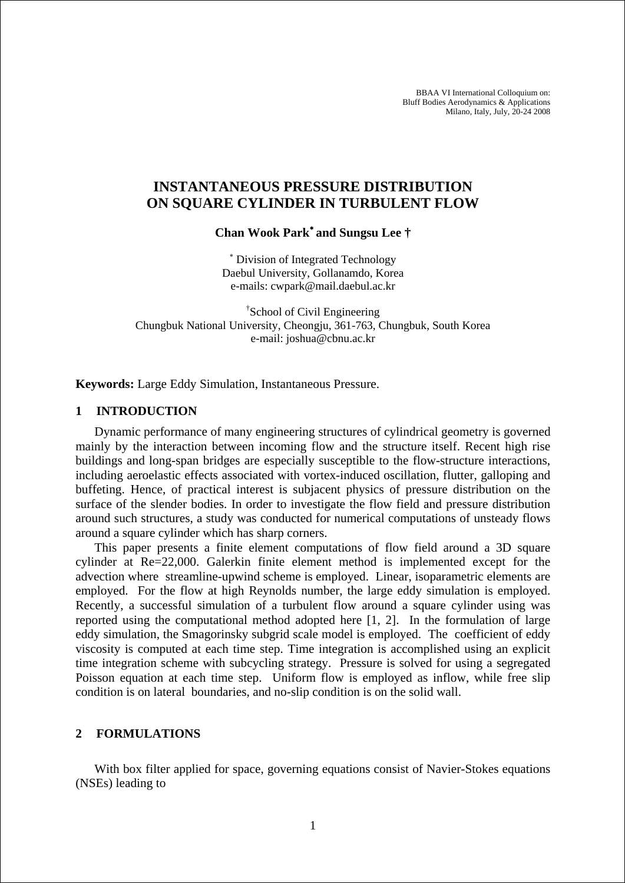BBAA VI International Colloquium on: Bluff Bodies Aerodynamics & Applications Milano, Italy, July, 20-24 2008

# **INSTANTANEOUS PRESSURE DISTRIBUTION ON SQUARE CYLINDER IN TURBULENT FLOW**

**Chan Wook Park**<sup>∗</sup> **and Sungsu Lee †** 

∗ Division of Integrated Technology Daebul University, Gollanamdo, Korea e-mails: cwpark@mail.daebul.ac.kr

† School of Civil Engineering Chungbuk National University, Cheongju, 361-763, Chungbuk, South Korea e-mail: joshua@cbnu.ac.kr

**Keywords:** Large Eddy Simulation, Instantaneous Pressure.

### **1 INTRODUCTION**

Dynamic performance of many engineering structures of cylindrical geometry is governed mainly by the interaction between incoming flow and the structure itself. Recent high rise buildings and long-span bridges are especially susceptible to the flow-structure interactions, including aeroelastic effects associated with vortex-induced oscillation, flutter, galloping and buffeting. Hence, of practical interest is subjacent physics of pressure distribution on the surface of the slender bodies. In order to investigate the flow field and pressure distribution around such structures, a study was conducted for numerical computations of unsteady flows around a square cylinder which has sharp corners.

This paper presents a finite element computations of flow field around a 3D square cylinder at Re=22,000. Galerkin finite element method is implemented except for the advection where streamline-upwind scheme is employed. Linear, isoparametric elements are employed. For the flow at high Reynolds number, the large eddy simulation is employed. Recently, a successful simulation of a turbulent flow around a square cylinder using was reported using the computational method adopted here [1, 2]. In the formulation of large eddy simulation, the Smagorinsky subgrid scale model is employed. The coefficient of eddy viscosity is computed at each time step. Time integration is accomplished using an explicit time integration scheme with subcycling strategy. Pressure is solved for using a segregated Poisson equation at each time step. Uniform flow is employed as inflow, while free slip condition is on lateral boundaries, and no-slip condition is on the solid wall.

### **2 FORMULATIONS**

With box filter applied for space, governing equations consist of Navier-Stokes equations (NSEs) leading to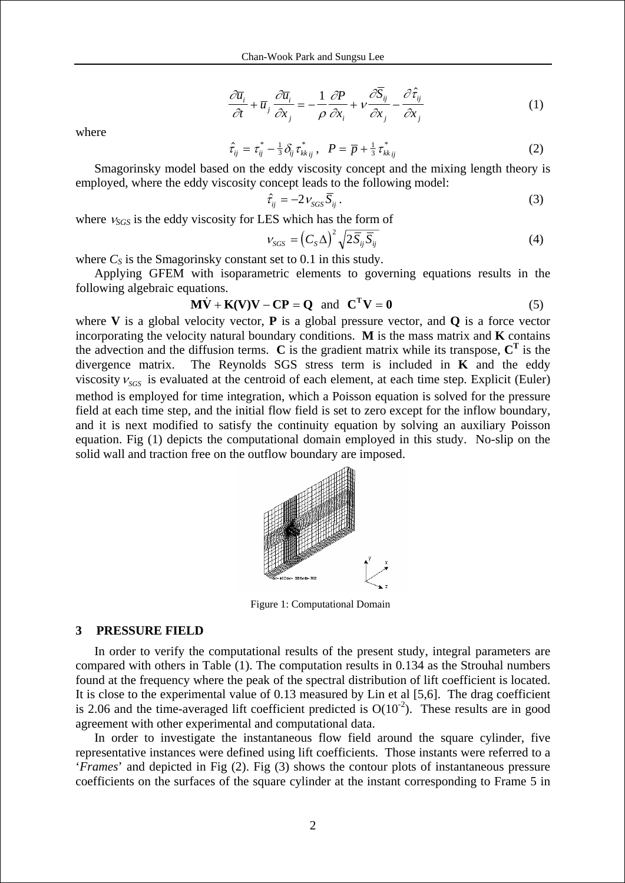$$
\frac{\partial \overline{u}_i}{\partial t} + \overline{u}_j \frac{\partial \overline{u}_i}{\partial x_j} = -\frac{1}{\rho} \frac{\partial P}{\partial x_i} + \nu \frac{\partial S_{ij}}{\partial x_j} - \frac{\partial \hat{\tau}_{ij}}{\partial x_j}
$$
(1)

where

$$
\hat{\tau}_{ij} = \tau_{ij}^* - \frac{1}{3} \delta_{ij} \tau_{kk\,ij}^*, \quad P = \overline{p} + \frac{1}{3} \tau_{kk\,ij}^* \tag{2}
$$

Smagorinsky model based on the eddy viscosity concept and the mixing length theory is employed, where the eddy viscosity concept leads to the following model:

$$
\hat{\tau}_{ij} = -2 \nu_{SGS} \overline{S}_{ij} \,. \tag{3}
$$

where <sup>ν</sup>*SGS* is the eddy viscosity for LES which has the form of

$$
v_{SGS} = \left(C_S \Delta\right)^2 \sqrt{2\overline{S}_{ij}\overline{S}_{ij}}
$$
\n(4)

where  $C_S$  is the Smagorinsky constant set to 0.1 in this study.

Applying GFEM with isoparametric elements to governing equations results in the following algebraic equations.

$$
\mathbf{M}\dot{\mathbf{V}} + \mathbf{K}(\mathbf{V})\mathbf{V} - \mathbf{C}\mathbf{P} = \mathbf{Q} \text{ and } \mathbf{C}^{\mathrm{T}}\mathbf{V} = \mathbf{0}
$$
 (5)

where **V** is a global velocity vector, **P** is a global pressure vector, and **Q** is a force vector incorporating the velocity natural boundary conditions. **M** is the mass matrix and **K** contains the advection and the diffusion terms.  $\bf{C}$  is the gradient matrix while its transpose,  $\bf{C}^T$  is the divergence matrix. The Reynolds SGS stress term is included in **K** and the eddy viscosity  $v_{SGS}$  is evaluated at the centroid of each element, at each time step. Explicit (Euler) method is employed for time integration, which a Poisson equation is solved for the pressure field at each time step, and the initial flow field is set to zero except for the inflow boundary, and it is next modified to satisfy the continuity equation by solving an auxiliary Poisson equation. Fig (1) depicts the computational domain employed in this study. No-slip on the solid wall and traction free on the outflow boundary are imposed.



Figure 1: Computational Domain

#### **3 PRESSURE FIELD**

In order to verify the computational results of the present study, integral parameters are compared with others in Table (1). The computation results in 0.134 as the Strouhal numbers found at the frequency where the peak of the spectral distribution of lift coefficient is located. It is close to the experimental value of 0.13 measured by Lin et al [5,6]. The drag coefficient is 2.06 and the time-averaged lift coefficient predicted is  $O(10^{-2})$ . These results are in good agreement with other experimental and computational data.

In order to investigate the instantaneous flow field around the square cylinder, five representative instances were defined using lift coefficients. Those instants were referred to a '*Frames*' and depicted in Fig (2). Fig (3) shows the contour plots of instantaneous pressure coefficients on the surfaces of the square cylinder at the instant corresponding to Frame 5 in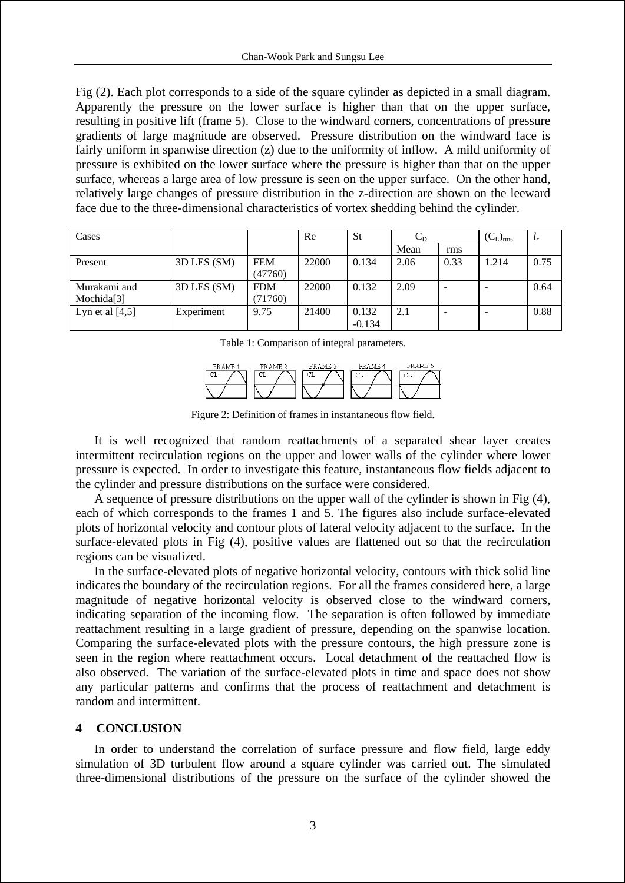Fig (2). Each plot corresponds to a side of the square cylinder as depicted in a small diagram. Apparently the pressure on the lower surface is higher than that on the upper surface, resulting in positive lift (frame 5). Close to the windward corners, concentrations of pressure gradients of large magnitude are observed. Pressure distribution on the windward face is fairly uniform in spanwise direction (z) due to the uniformity of inflow. A mild uniformity of pressure is exhibited on the lower surface where the pressure is higher than that on the upper surface, whereas a large area of low pressure is seen on the upper surface. On the other hand, relatively large changes of pressure distribution in the z-direction are shown on the leeward face due to the three-dimensional characteristics of vortex shedding behind the cylinder.

| Cases             |             |            | Re    | <b>St</b> | ◡ಗ   |      | $(C_L)_{rms}$ |      |
|-------------------|-------------|------------|-------|-----------|------|------|---------------|------|
|                   |             |            |       |           | Mean | rms  |               |      |
| Present           | 3D LES (SM) | <b>FEM</b> | 22000 | 0.134     | 2.06 | 0.33 | 1.214         | 0.75 |
|                   |             | (47760)    |       |           |      |      |               |      |
| Murakami and      | 3D LES (SM) | <b>FDM</b> | 22000 | 0.132     | 2.09 |      |               | 0.64 |
| Mochida[3]        |             | (71760)    |       |           |      |      |               |      |
| Lyn et al $[4,5]$ | Experiment  | 9.75       | 21400 | 0.132     | 2.1  |      |               | 0.88 |
|                   |             |            |       | $-0.134$  |      |      |               |      |

Table 1: Comparison of integral parameters.



Figure 2: Definition of frames in instantaneous flow field.

It is well recognized that random reattachments of a separated shear layer creates intermittent recirculation regions on the upper and lower walls of the cylinder where lower pressure is expected. In order to investigate this feature, instantaneous flow fields adjacent to the cylinder and pressure distributions on the surface were considered.

A sequence of pressure distributions on the upper wall of the cylinder is shown in Fig (4), each of which corresponds to the frames 1 and 5. The figures also include surface-elevated plots of horizontal velocity and contour plots of lateral velocity adjacent to the surface. In the surface-elevated plots in Fig (4), positive values are flattened out so that the recirculation regions can be visualized.

In the surface-elevated plots of negative horizontal velocity, contours with thick solid line indicates the boundary of the recirculation regions. For all the frames considered here, a large magnitude of negative horizontal velocity is observed close to the windward corners, indicating separation of the incoming flow. The separation is often followed by immediate reattachment resulting in a large gradient of pressure, depending on the spanwise location. Comparing the surface-elevated plots with the pressure contours, the high pressure zone is seen in the region where reattachment occurs. Local detachment of the reattached flow is also observed. The variation of the surface-elevated plots in time and space does not show any particular patterns and confirms that the process of reattachment and detachment is random and intermittent.

### **4 CONCLUSION**

In order to understand the correlation of surface pressure and flow field, large eddy simulation of 3D turbulent flow around a square cylinder was carried out. The simulated three-dimensional distributions of the pressure on the surface of the cylinder showed the